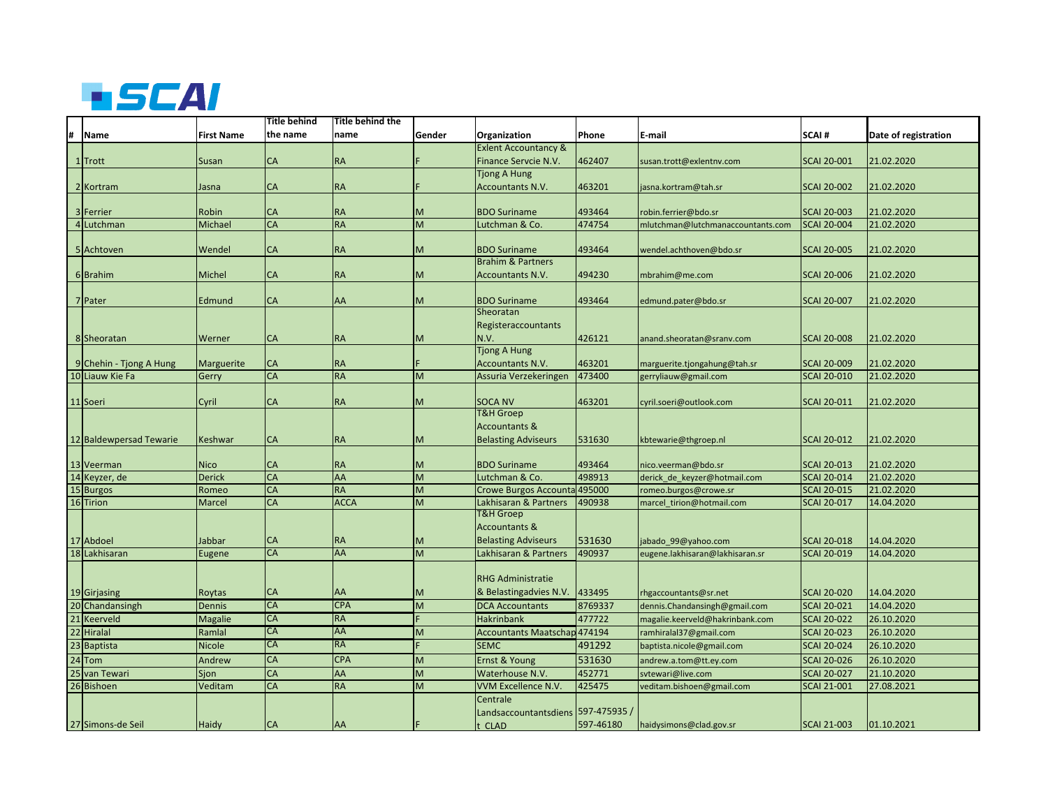

|    |                                            |                   | Title behind | Title behind the       |        |                                     |                  |                                   |                    |                          |
|----|--------------------------------------------|-------------------|--------------|------------------------|--------|-------------------------------------|------------------|-----------------------------------|--------------------|--------------------------|
| #  | <b>Name</b>                                | <b>First Name</b> | the name     | name                   | Gender | Organization                        | Phone            | E-mail                            | SCAI#              | Date of registration     |
|    |                                            |                   |              |                        |        | <b>Exlent Accountancy &amp;</b>     |                  |                                   |                    |                          |
|    | 1 Trott                                    | Susan             | CA           | <b>RA</b>              |        | Finance Servcie N.V.                | 462407           | susan.trott@exlentnv.com          | <b>SCAI 20-001</b> | 21.02.2020               |
|    |                                            |                   |              |                        |        | <b>Tjong A Hung</b>                 |                  |                                   |                    |                          |
|    | 2 Kortram                                  | Jasna             | <b>CA</b>    | <b>RA</b>              |        | <b>Accountants N.V.</b>             | 463201           | jasna.kortram@tah.sr              | <b>SCAI 20-002</b> | 21.02.2020               |
|    |                                            |                   |              |                        |        |                                     |                  |                                   |                    |                          |
|    | 3 Ferrier                                  | Robin             | CA           | <b>RA</b>              | M      | <b>BDO Suriname</b>                 | 493464           | robin.ferrier@bdo.sr              | <b>SCAI 20-003</b> | 21.02.2020               |
|    | 4 Lutchman                                 | Michael           | CA           | <b>RA</b>              | M      | Lutchman & Co.                      | 474754           | mlutchman@lutchmanaccountants.com | <b>SCAI 20-004</b> | 21.02.2020               |
|    |                                            |                   |              |                        |        |                                     |                  |                                   |                    |                          |
|    | 5 Achtoven                                 | Wendel            | <b>CA</b>    | <b>RA</b>              | м      | <b>BDO Suriname</b>                 | 493464           | wendel.achthoven@bdo.sr           | <b>SCAI 20-005</b> | 21.02.2020               |
|    |                                            |                   |              |                        |        | <b>Brahim &amp; Partners</b>        |                  |                                   |                    |                          |
|    | 6 Brahim                                   | Michel            | CA           | <b>RA</b>              | M      | <b>Accountants N.V.</b>             | 494230           | mbrahim@me.com                    | <b>SCAI 20-006</b> | 21.02.2020               |
|    |                                            |                   |              |                        |        |                                     |                  |                                   |                    |                          |
|    | 7 Pater                                    | Edmund            | CA           | AA                     | M      | <b>BDO Suriname</b>                 | 493464           | edmund.pater@bdo.sr               | <b>SCAI 20-007</b> | 21.02.2020               |
|    |                                            |                   |              |                        |        | Sheoratan                           |                  |                                   |                    |                          |
|    |                                            |                   |              |                        |        | Registeraccountants                 |                  |                                   |                    |                          |
|    | 8 Sheoratan                                | Werner            | CA           | <b>RA</b>              | м      | N.V.                                | 426121           | anand.sheoratan@sranv.com         | <b>SCAI 20-008</b> | 21.02.2020               |
|    |                                            |                   |              |                        |        | <b>Tjong A Hung</b>                 |                  |                                   |                    |                          |
|    | 9 Chehin - Tjong A Hung<br>10 Liauw Kie Fa | <b>Marguerite</b> | СA<br>CA     | <b>RA</b><br><b>RA</b> | M      | Accountants N.V.                    | 463201<br>473400 | marguerite.tjongahung@tah.sr      | <b>SCAI 20-009</b> | 21.02.2020<br>21.02.2020 |
|    |                                            | Gerry             |              |                        |        | Assuria Verzekeringen               |                  | gerryliauw@gmail.com              | <b>SCAI 20-010</b> |                          |
|    | 11 Soeri                                   | Cyril             | CA           | <b>RA</b>              | м      | <b>SOCA NV</b>                      | 463201           | cyril.soeri@outlook.com           | <b>SCAI 20-011</b> | 21.02.2020               |
|    |                                            |                   |              |                        |        | <b>T&amp;H Groep</b>                |                  |                                   |                    |                          |
|    |                                            |                   |              |                        |        | <b>Accountants &amp;</b>            |                  |                                   |                    |                          |
|    | 12 Baldewpersad Tewarie                    | Keshwar           | CA           | <b>RA</b>              | м      | <b>Belasting Adviseurs</b>          | 531630           | kbtewarie@thgroep.nl              | <b>SCAI 20-012</b> | 21.02.2020               |
|    |                                            |                   |              |                        |        |                                     |                  |                                   |                    |                          |
|    | 13 Veerman                                 | <b>Nico</b>       | <b>CA</b>    | <b>RA</b>              | м      | <b>BDO Suriname</b>                 | 493464           | nico.veerman@bdo.sr               | <b>SCAI 20-013</b> | 21.02.2020               |
|    | 14 Keyzer, de                              | <b>Derick</b>     | CA           | AA                     | M.     | Lutchman & Co.                      | 498913           | derick de keyzer@hotmail.com      | <b>SCAI 20-014</b> | 21.02.2020               |
|    | 15 Burgos                                  | Romeo             | <b>CA</b>    | <b>RA</b>              | M      | <b>Crowe Burgos Accounta</b>        | 495000           | romeo.burgos@crowe.sr             | <b>SCAI 20-015</b> | 21.02.2020               |
|    | 16 Tirion                                  | Marcel            | <b>CA</b>    | <b>ACCA</b>            | M      | Lakhisaran & Partners               | 490938           | marcel tirion@hotmail.com         | <b>SCAI 20-017</b> | 14.04.2020               |
|    |                                            |                   |              |                        |        | <b>T&amp;H Groep</b>                |                  |                                   |                    |                          |
|    |                                            |                   |              |                        |        | <b>Accountants &amp;</b>            |                  |                                   |                    |                          |
|    | 17 Abdoel                                  | Jabbar            | <b>CA</b>    | <b>RA</b>              | м      | <b>Belasting Adviseurs</b>          | 531630           | jabado_99@yahoo.com               | <b>SCAI 20-018</b> | 14.04.2020               |
| 18 | Lakhisaran                                 | Eugene            | <b>CA</b>    | <b>AA</b>              | M      | Lakhisaran & Partners               | 490937           | eugene.lakhisaran@lakhisaran.sr   | <b>SCAI 20-019</b> | 14.04.2020               |
|    |                                            |                   |              |                        |        |                                     |                  |                                   |                    |                          |
|    |                                            |                   |              |                        |        | <b>RHG Administratie</b>            |                  |                                   |                    |                          |
|    | 19 Girjasing                               | Roytas            | СA           | AA                     | M      | & Belastingadvies N.V.              | 433495           | rhgaccountants@sr.net             | <b>SCAI 20-020</b> | 14.04.2020               |
|    | 20 Chandansingh                            | Dennis            | <b>CA</b>    | <b>CPA</b>             | M      | <b>DCA Accountants</b>              | 8769337          | dennis.Chandansingh@gmail.com     | <b>SCAI 20-021</b> | 14.04.2020               |
|    | 21 Keerveld                                | <b>Magalie</b>    | <b>CA</b>    | <b>RA</b>              |        | <b>Hakrinbank</b>                   | 477722           | magalie.keerveld@hakrinbank.com   | <b>SCAI 20-022</b> | 26.10.2020               |
|    | 22 Hiralal                                 | Ramlal            | <b>CA</b>    | AA                     | M      | <b>Accountants Maatschap 474194</b> |                  | ramhiralal37@gmail.com            | <b>SCAI 20-023</b> | 26.10.2020               |
|    | 23 Baptista                                | <b>Nicole</b>     | CA           | <b>RA</b>              |        | <b>SEMC</b>                         | 491292           | baptista.nicole@gmail.com         | <b>SCAI 20-024</b> | 26.10.2020               |
|    | $24$ Tom                                   | Andrew            | <b>CA</b>    | <b>CPA</b>             | M      | Ernst & Young                       | 531630           | andrew.a.tom@tt.ey.com            | <b>SCAI 20-026</b> | 26.10.2020               |
|    | 25 van Tewari                              | Sjon              | CA           | AA                     | M      | Waterhouse N.V.                     | 452771           | svtewari@live.com                 | <b>SCAI 20-027</b> | 21.10.2020               |
|    | 26 Bishoen                                 | Veditam           | CA           | <b>RA</b>              | M      | VVM Excellence N.V.                 | 425475           | veditam.bishoen@gmail.com         | <b>SCAI 21-001</b> | 27.08.2021               |
|    |                                            |                   |              |                        |        | Centrale                            |                  |                                   |                    |                          |
|    |                                            |                   |              |                        |        | Landsaccountantsdiens               | 597-475935 /     |                                   |                    |                          |
|    | 27 Simons-de Seil                          | Haidy             | <b>CA</b>    | AA                     |        | t CLAD                              | 597-46180        | haidysimons@clad.gov.sr           | <b>SCAI 21-003</b> | 01.10.2021               |